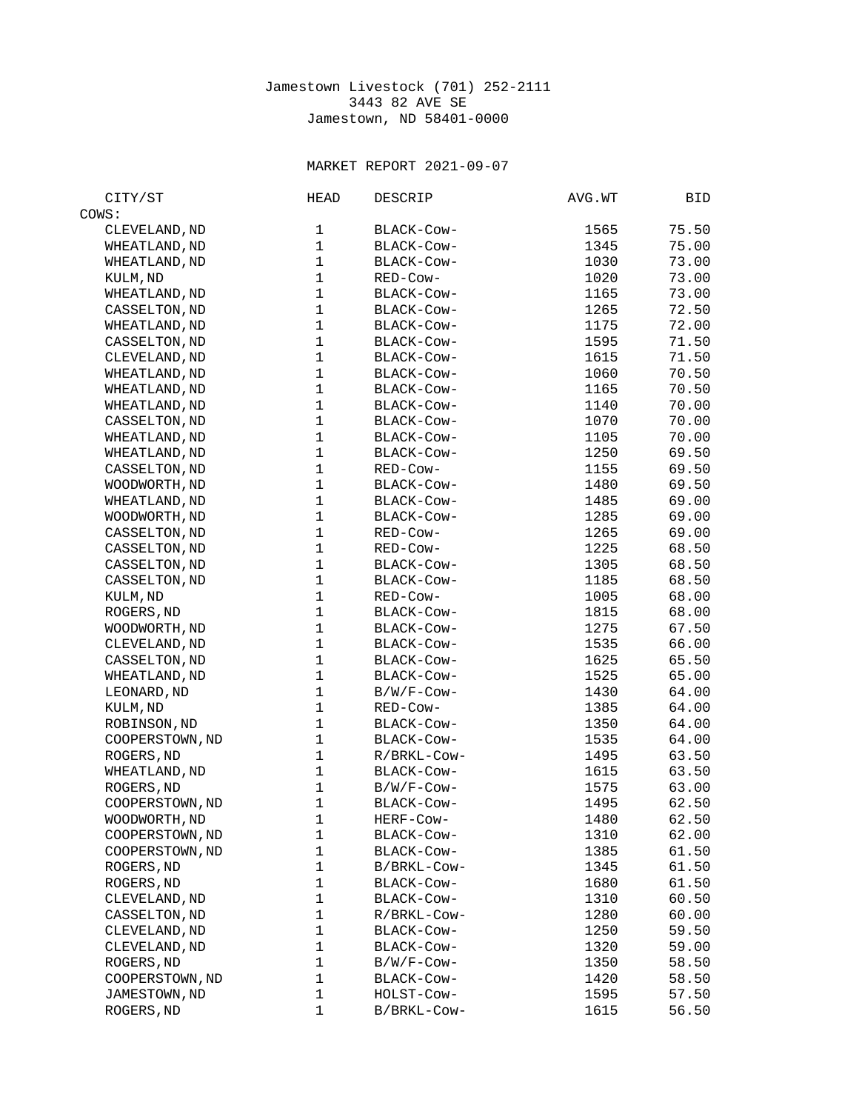## Jamestown Livestock (701) 252-2111 3443 82 AVE SE Jamestown, ND 58401-0000

## MARKET REPORT 2021-09-07

| CITY/ST                          | HEAD         | <b>DESCRIP</b> | AVG.WT | BID            |
|----------------------------------|--------------|----------------|--------|----------------|
| COWS:                            |              |                |        |                |
| CLEVELAND, ND                    | 1            | BLACK-COW-     | 1565   | 75.50          |
| WHEATLAND, ND                    | $\mathbf{1}$ | BLACK-COW-     | 1345   | 75.00          |
| WHEATLAND, ND                    | $\mathbf{1}$ | BLACK-COW-     | 1030   | 73.00          |
| KULM, ND                         | $\mathbf{1}$ | RED-Cow-       | 1020   | 73.00          |
| WHEATLAND, ND                    | $\mathbf{1}$ | BLACK-Cow-     | 1165   | 73.00          |
| CASSELTON, ND                    | $\mathbf{1}$ | BLACK-Cow-     | 1265   | 72.50          |
| WHEATLAND, ND                    | $\mathbf{1}$ | BLACK-COW-     | 1175   | 72.00          |
| CASSELTON, ND                    | $\mathbf{1}$ | BLACK-Cow-     | 1595   | 71.50          |
| CLEVELAND, ND                    | $\mathbf{1}$ | BLACK-Cow-     | 1615   | 71.50          |
| WHEATLAND, ND                    | $\mathbf{1}$ | BLACK-COW-     | 1060   | 70.50          |
| WHEATLAND, ND                    | $\mathbf{1}$ | BLACK-COW-     | 1165   | 70.50          |
| WHEATLAND, ND                    | $\mathbf{1}$ | BLACK-COW-     | 1140   | 70.00          |
| CASSELTON, ND                    | $\mathbf{1}$ | BLACK-COW-     | 1070   | 70.00          |
| WHEATLAND, ND                    | $\mathbf{1}$ | BLACK-COW-     | 1105   | 70.00          |
| WHEATLAND, ND                    | $\mathbf{1}$ | BLACK-Cow-     | 1250   | 69.50          |
| CASSELTON, ND                    | $\mathbf{1}$ | RED-Cow-       | 1155   | 69.50          |
| WOODWORTH, ND                    | $\mathbf{1}$ | BLACK-COW-     | 1480   | 69.50          |
| WHEATLAND, ND                    | $\mathbf{1}$ | BLACK-COW-     | 1485   | 69.00          |
| WOODWORTH, ND                    | $\mathbf{1}$ | BLACK-COW-     | 1285   | 69.00          |
| CASSELTON, ND                    | $\mathbf{1}$ | RED-Cow-       | 1265   | 69.00          |
| CASSELTON, ND                    | $\mathbf{1}$ | RED-Cow-       | 1225   | 68.50          |
| CASSELTON, ND                    | $\mathbf{1}$ | BLACK-Cow-     | 1305   | 68.50          |
| CASSELTON, ND                    | $\mathbf{1}$ | BLACK-Cow-     | 1185   | 68.50          |
| KULM, ND                         | $\mathbf{1}$ | RED-Cow-       | 1005   | 68.00          |
| ROGERS, ND                       | $\mathbf{1}$ | BLACK-COW-     | 1815   | 68.00          |
| WOODWORTH, ND                    | $\mathbf{1}$ | BLACK-Cow-     | 1275   | 67.50          |
| CLEVELAND, ND                    | $\mathbf{1}$ | BLACK-COW-     | 1535   | 66.00          |
| CASSELTON, ND                    | $\mathbf{1}$ | BLACK-COW-     | 1625   | 65.50          |
| WHEATLAND, ND                    | $\mathbf{1}$ | BLACK-COW-     | 1525   | 65.00          |
| LEONARD, ND                      | $\mathbf{1}$ | B/W/F-Cow-     | 1430   | 64.00          |
| KULM, ND                         | $\mathbf{1}$ | RED-Cow-       | 1385   | 64.00          |
| ROBINSON, ND                     | $\mathbf{1}$ | BLACK-COW-     | 1350   | 64.00          |
| COOPERSTOWN, ND                  | $\mathbf{1}$ | BLACK-Cow-     | 1535   | 64.00          |
| ROGERS, ND                       | $\mathbf{1}$ | R/BRKL-Cow-    | 1495   | 63.50          |
| WHEATLAND, ND                    | $\mathbf{1}$ | BLACK-Cow-     | 1615   | 63.50          |
| ROGERS, ND                       | $\mathbf{1}$ | B/W/F-Cow-     | 1575   | 63.00          |
| COOPERSTOWN, ND                  | $\mathbf{1}$ | BLACK-COW-     | 1495   | 62.50          |
| WOODWORTH, ND                    | $\mathbf{1}$ | HERF-Cow-      | 1480   | 62.50          |
| COOPERSTOWN, ND                  | 1            | BLACK-Cow-     | 1310   | 62.00          |
| COOPERSTOWN, ND                  | $\mathbf{1}$ | BLACK-Cow-     | 1385   | 61.50          |
| ROGERS, ND                       | 1            | B/BRKL-Cow-    | 1345   | 61.50          |
| ROGERS, ND                       | 1            | BLACK-Cow-     | 1680   | 61.50          |
| CLEVELAND, ND                    | $\mathbf{1}$ | BLACK-Cow-     | 1310   | 60.50          |
| CASSELTON, ND                    | $\mathbf{1}$ | R/BRKL-Cow-    | 1280   | 60.00          |
| CLEVELAND, ND                    | $\mathbf{1}$ | BLACK-Cow-     | 1250   | 59.50          |
| CLEVELAND, ND                    | $\mathbf{1}$ | BLACK-Cow-     | 1320   |                |
| ROGERS, ND                       | $\mathbf{1}$ | B/W/F-Cow-     | 1350   | 59.00<br>58.50 |
|                                  | 1            | BLACK-Cow-     | 1420   | 58.50          |
| COOPERSTOWN, ND<br>JAMESTOWN, ND | 1            | HOLST-Cow-     | 1595   | 57.50          |
|                                  | $\mathbf{1}$ | B/BRKL-Cow-    |        |                |
| ROGERS, ND                       |              |                | 1615   | 56.50          |